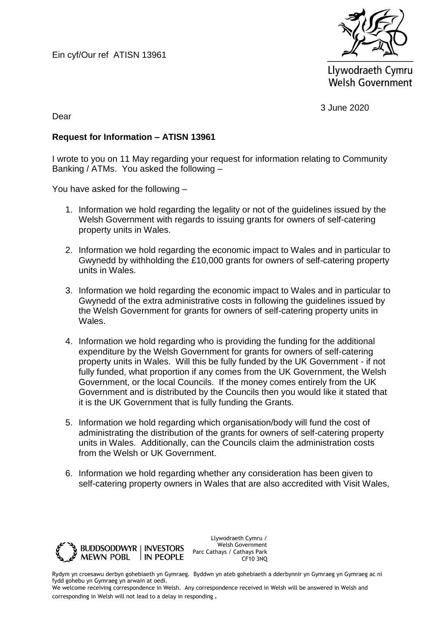Ein cyf/Our ref ATISN 13961



Llywodraeth Cymru **Welsh Government** 

3 June 2020

Dear

## **Request for Information – ATISN 13961**

I wrote to you on 11 May regarding your request for information relating to Community Banking / ATMs. You asked the following –

You have asked for the following –

- 1. Information we hold regarding the legality or not of the guidelines issued by the Welsh Government with regards to issuing grants for owners of self-catering property units in Wales.
- 2. Information we hold regarding the economic impact to Wales and in particular to Gwynedd by withholding the £10,000 grants for owners of self-catering property units in Wales.
- 3. Information we hold regarding the economic impact to Wales and in particular to Gwynedd of the extra administrative costs in following the guidelines issued by the Welsh Government for grants for owners of self-catering property units in Wales.
- 4. Information we hold regarding who is providing the funding for the additional expenditure by the Welsh Government for grants for owners of self-catering property units in Wales. Will this be fully funded by the UK Government - if not fully funded, what proportion if any comes from the UK Government, the Welsh Government, or the local Councils. If the money comes entirely from the UK Government and is distributed by the Councils then you would like it stated that it is the UK Government that is fully funding the Grants.
- 5. Information we hold regarding which organisation/body will fund the cost of administrating the distribution of the grants for owners of self-catering property units in Wales. Additionally, can the Councils claim the administration costs from the Welsh or UK Government.
- 6. Information we hold regarding whether any consideration has been given to self-catering property owners in Wales that are also accredited with Visit Wales,



Llywodraeth Cymru / Welsh Government Parc Cathays / Cathays Park CF10 3NQ

Rydym yn croesawu derbyn gohebiaeth yn Gymraeg. Byddwn yn ateb gohebiaeth a dderbynnir yn Gymraeg yn Gymraeg ac ni fydd gohebu yn Gymraeg yn arwain at oedi.

We welcome receiving correspondence in Welsh. Any correspondence received in Welsh will be answered in Welsh and corresponding in Welsh will not lead to a delay in responding.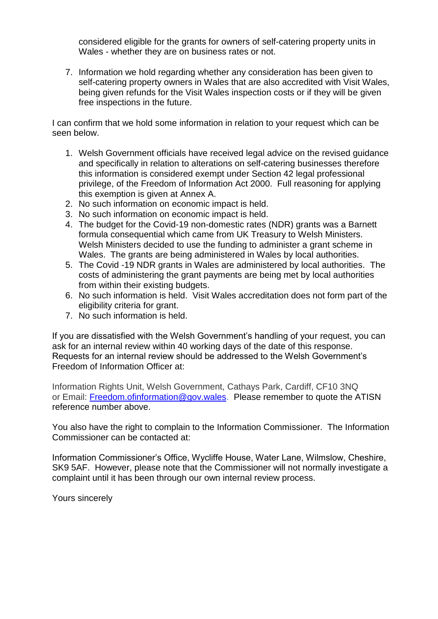considered eligible for the grants for owners of self-catering property units in Wales - whether they are on business rates or not.

7. Information we hold regarding whether any consideration has been given to self-catering property owners in Wales that are also accredited with Visit Wales, being given refunds for the Visit Wales inspection costs or if they will be given free inspections in the future.

I can confirm that we hold some information in relation to your request which can be seen below.

- 1. Welsh Government officials have received legal advice on the revised guidance and specifically in relation to alterations on self-catering businesses therefore this information is considered exempt under Section 42 legal professional privilege, of the Freedom of Information Act 2000. Full reasoning for applying this exemption is given at Annex A.
- 2. No such information on economic impact is held.
- 3. No such information on economic impact is held.
- 4. The budget for the Covid-19 non-domestic rates (NDR) grants was a Barnett formula consequential which came from UK Treasury to Welsh Ministers. Welsh Ministers decided to use the funding to administer a grant scheme in Wales. The grants are being administered in Wales by local authorities.
- 5. The Covid -19 NDR grants in Wales are administered by local authorities. The costs of administering the grant payments are being met by local authorities from within their existing budgets.
- 6. No such information is held. Visit Wales accreditation does not form part of the eligibility criteria for grant.
- 7. No such information is held.

If you are dissatisfied with the Welsh Government's handling of your request, you can ask for an internal review within 40 working days of the date of this response. Requests for an internal review should be addressed to the Welsh Government's Freedom of Information Officer at:

Information Rights Unit, Welsh Government, Cathays Park, Cardiff, CF10 3NQ or Email: [Freedom.ofinformation@gov.wales.](mailto:Freedom.ofinformation@gov.wales) Please remember to quote the ATISN reference number above.

You also have the right to complain to the Information Commissioner. The Information Commissioner can be contacted at:

Information Commissioner's Office, Wycliffe House, Water Lane, Wilmslow, Cheshire, SK9 5AF. However, please note that the Commissioner will not normally investigate a complaint until it has been through our own internal review process.

Yours sincerely